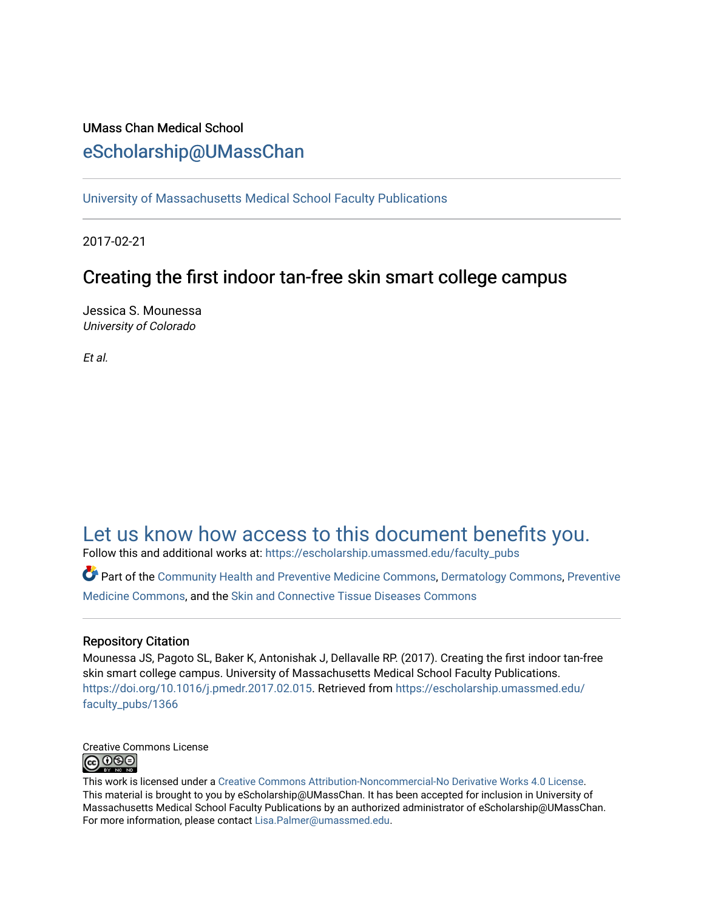## UMass Chan Medical School [eScholarship@UMassChan](https://escholarship.umassmed.edu/)

[University of Massachusetts Medical School Faculty Publications](https://escholarship.umassmed.edu/faculty_pubs)

2017-02-21

# Creating the first indoor tan-free skin smart college campus

Jessica S. Mounessa University of Colorado

Et al.

# [Let us know how access to this document benefits you.](https://arcsapps.umassmed.edu/redcap/surveys/?s=XWRHNF9EJE)

Follow this and additional works at: [https://escholarship.umassmed.edu/faculty\\_pubs](https://escholarship.umassmed.edu/faculty_pubs?utm_source=escholarship.umassmed.edu%2Ffaculty_pubs%2F1366&utm_medium=PDF&utm_campaign=PDFCoverPages) 

Part of the [Community Health and Preventive Medicine Commons](http://network.bepress.com/hgg/discipline/744?utm_source=escholarship.umassmed.edu%2Ffaculty_pubs%2F1366&utm_medium=PDF&utm_campaign=PDFCoverPages), [Dermatology Commons](http://network.bepress.com/hgg/discipline/684?utm_source=escholarship.umassmed.edu%2Ffaculty_pubs%2F1366&utm_medium=PDF&utm_campaign=PDFCoverPages), [Preventive](http://network.bepress.com/hgg/discipline/703?utm_source=escholarship.umassmed.edu%2Ffaculty_pubs%2F1366&utm_medium=PDF&utm_campaign=PDFCoverPages)  [Medicine Commons](http://network.bepress.com/hgg/discipline/703?utm_source=escholarship.umassmed.edu%2Ffaculty_pubs%2F1366&utm_medium=PDF&utm_campaign=PDFCoverPages), and the [Skin and Connective Tissue Diseases Commons](http://network.bepress.com/hgg/discipline/942?utm_source=escholarship.umassmed.edu%2Ffaculty_pubs%2F1366&utm_medium=PDF&utm_campaign=PDFCoverPages) 

### Repository Citation

Mounessa JS, Pagoto SL, Baker K, Antonishak J, Dellavalle RP. (2017). Creating the first indoor tan-free skin smart college campus. University of Massachusetts Medical School Faculty Publications. <https://doi.org/10.1016/j.pmedr.2017.02.015>. Retrieved from [https://escholarship.umassmed.edu/](https://escholarship.umassmed.edu/faculty_pubs/1366?utm_source=escholarship.umassmed.edu%2Ffaculty_pubs%2F1366&utm_medium=PDF&utm_campaign=PDFCoverPages) [faculty\\_pubs/1366](https://escholarship.umassmed.edu/faculty_pubs/1366?utm_source=escholarship.umassmed.edu%2Ffaculty_pubs%2F1366&utm_medium=PDF&utm_campaign=PDFCoverPages)



This work is licensed under a [Creative Commons Attribution-Noncommercial-No Derivative Works 4.0 License.](http://creativecommons.org/licenses/by-nc-nd/4.0/) This material is brought to you by eScholarship@UMassChan. It has been accepted for inclusion in University of Massachusetts Medical School Faculty Publications by an authorized administrator of eScholarship@UMassChan. For more information, please contact [Lisa.Palmer@umassmed.edu](mailto:Lisa.Palmer@umassmed.edu).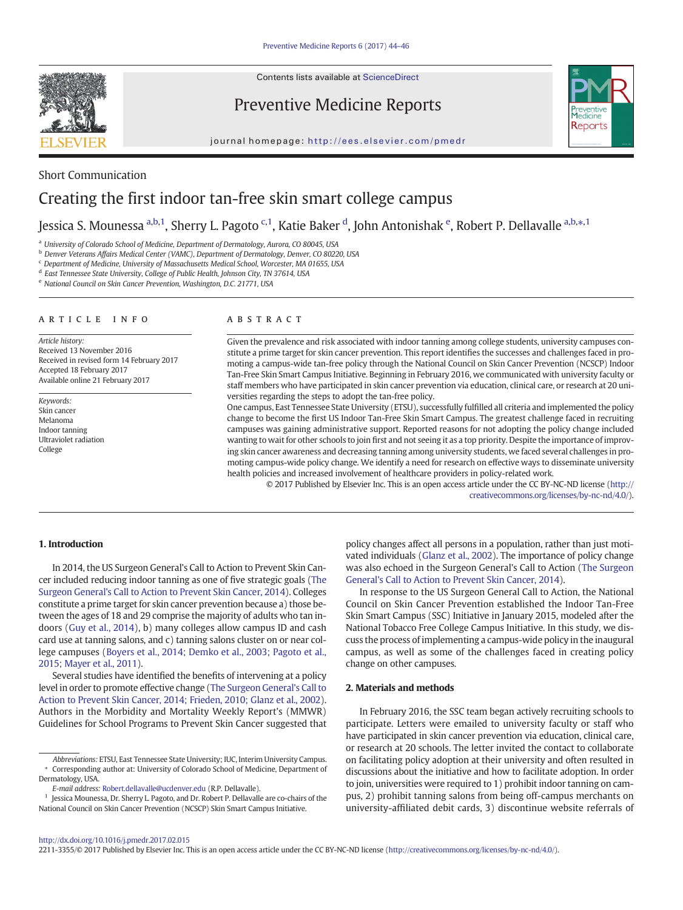Contents lists available at [ScienceDirect](http://www.sciencedirect.com/science/journal/)



Preventive Medicine Reports



journal homepage: <http://ees.elsevier.com/pmedr>

### Short Communication Creating the first indoor tan-free skin smart college campus

Jessica S. Mounessa <sup>a,b,1</sup>, Sherry L. Pagoto <sup>c,1</sup>, Katie Baker <sup>d</sup>, John Antonishak <sup>e</sup>, Robert P. Dellavalle <sup>a,b,</sup>\*,<sup>1</sup>

a University of Colorado School of Medicine, Department of Dermatology, Aurora, CO 80045, USA

<sup>b</sup> Denver Veterans Affairs Medical Center (VAMC), Department of Dermatology, Denver, CO 80220, USA

<sup>c</sup> Department of Medicine, University of Massachusetts Medical School, Worcester, MA 01655, USA

<sup>d</sup> East Tennessee State University, College of Public Health, Johnson City, TN 37614, USA

<sup>e</sup> National Council on Skin Cancer Prevention, Washington, D.C. 21771, USA

#### article info abstract

Article history: Received 13 November 2016 Received in revised form 14 February 2017 Accepted 18 February 2017 Available online 21 February 2017

Keywords: Skin cancer Melanoma Indoor tanning Ultraviolet radiation College

Given the prevalence and risk associated with indoor tanning among college students, university campuses constitute a prime target for skin cancer prevention. This report identifies the successes and challenges faced in promoting a campus-wide tan-free policy through the National Council on Skin Cancer Prevention (NCSCP) Indoor Tan-Free Skin Smart Campus Initiative. Beginning in February 2016, we communicated with university faculty or staff members who have participated in skin cancer prevention via education, clinical care, or research at 20 universities regarding the steps to adopt the tan-free policy.

One campus, East Tennessee State University (ETSU), successfully fulfilled all criteria and implemented the policy change to become the first US Indoor Tan-Free Skin Smart Campus. The greatest challenge faced in recruiting campuses was gaining administrative support. Reported reasons for not adopting the policy change included wanting to wait for other schools to join first and not seeing it as a top priority. Despite the importance of improving skin cancer awareness and decreasing tanning among university students, we faced several challenges in promoting campus-wide policy change. We identify a need for research on effective ways to disseminate university health policies and increased involvement of healthcare providers in policy-related work.

© 2017 Published by Elsevier Inc. This is an open access article under the CC BY-NC-ND license [\(http://](0opyright_ulicense) [creativecommons.org/licenses/by-nc-nd/4.0/](0opyright_ulicense)).

#### 1. Introduction

In 2014, the US Surgeon General's Call to Action to Prevent Skin Cancer included reducing indoor tanning as one of five strategic goals ([The](#page-3-0) [Surgeon General's Call to Action to Prevent Skin Cancer, 2014\)](#page-3-0). Colleges constitute a prime target for skin cancer prevention because a) those between the ages of 18 and 29 comprise the majority of adults who tan indoors [\(Guy et al., 2014](#page-3-0)), b) many colleges allow campus ID and cash card use at tanning salons, and c) tanning salons cluster on or near college campuses ([Boyers et al., 2014; Demko et al., 2003; Pagoto et al.,](#page-3-0) [2015; Mayer et al., 2011\)](#page-3-0).

Several studies have identified the benefits of intervening at a policy level in order to promote effective change ([The Surgeon General's Call to](#page-3-0) [Action to Prevent Skin Cancer, 2014; Frieden, 2010; Glanz et al., 2002\)](#page-3-0). Authors in the Morbidity and Mortality Weekly Report's (MMWR) Guidelines for School Programs to Prevent Skin Cancer suggested that

Abbreviations: ETSU, East Tennessee State University; IUC, Interim University Campus. ⁎ Corresponding author at: University of Colorado School of Medicine, Department of Dermatology, USA.

E-mail address: [Robert.dellavalle@ucdenver.edu](mailto:Robert.dellavalle@ucdenver.edu) (R.P. Dellavalle).

<sup>1</sup> Jessica Mounessa, Dr. Sherry L. Pagoto, and Dr. Robert P. Dellavalle are co-chairs of the National Council on Skin Cancer Prevention (NCSCP) Skin Smart Campus Initiative.

policy changes affect all persons in a population, rather than just motivated individuals [\(Glanz et al., 2002](#page-3-0)). The importance of policy change was also echoed in the Surgeon General's Call to Action ([The Surgeon](#page-3-0) [General's Call to Action to Prevent Skin Cancer, 2014\)](#page-3-0).

In response to the US Surgeon General Call to Action, the National Council on Skin Cancer Prevention established the Indoor Tan-Free Skin Smart Campus (SSC) Initiative in January 2015, modeled after the National Tobacco Free College Campus Initiative. In this study, we discuss the process of implementing a campus-wide policy in the inaugural campus, as well as some of the challenges faced in creating policy change on other campuses.

#### 2. Materials and methods

In February 2016, the SSC team began actively recruiting schools to participate. Letters were emailed to university faculty or staff who have participated in skin cancer prevention via education, clinical care, or research at 20 schools. The letter invited the contact to collaborate on facilitating policy adoption at their university and often resulted in discussions about the initiative and how to facilitate adoption. In order to join, universities were required to 1) prohibit indoor tanning on campus, 2) prohibit tanning salons from being off-campus merchants on university-affiliated debit cards, 3) discontinue website referrals of

#### <http://dx.doi.org/10.1016/j.pmedr.2017.02.015>

2211-3355/© 2017 Published by Elsevier Inc. This is an open access article under the CC BY-NC-ND license [\(http://creativecommons.org/licenses/by-nc-nd/4.0/\)](0opyright_ulicense).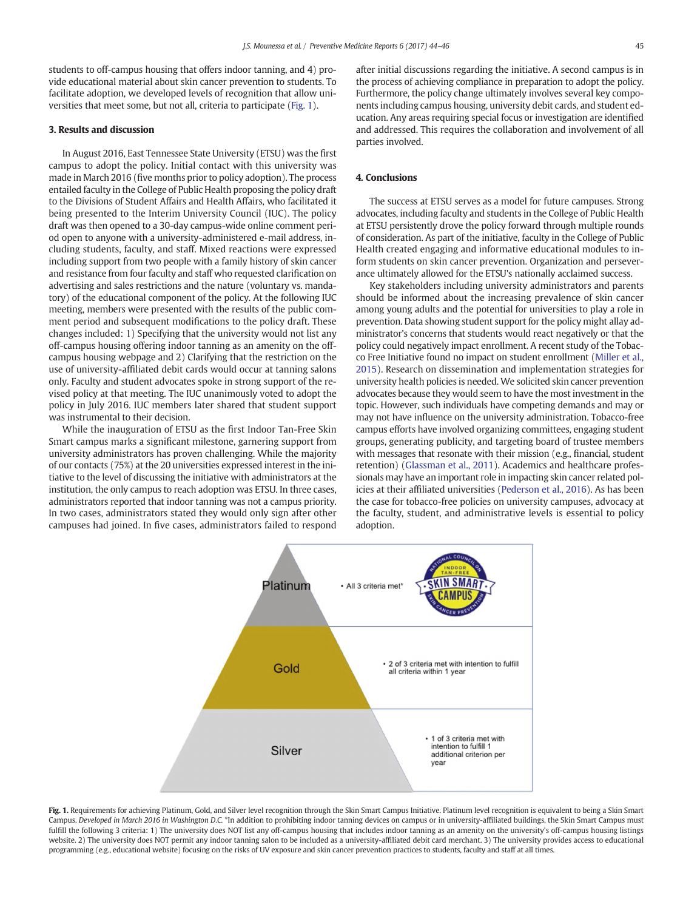students to off-campus housing that offers indoor tanning, and 4) provide educational material about skin cancer prevention to students. To facilitate adoption, we developed levels of recognition that allow universities that meet some, but not all, criteria to participate (Fig. 1).

#### 3. Results and discussion

In August 2016, East Tennessee State University (ETSU) was the first campus to adopt the policy. Initial contact with this university was made in March 2016 (five months prior to policy adoption). The process entailed faculty in the College of Public Health proposing the policy draft to the Divisions of Student Affairs and Health Affairs, who facilitated it being presented to the Interim University Council (IUC). The policy draft was then opened to a 30-day campus-wide online comment period open to anyone with a university-administered e-mail address, including students, faculty, and staff. Mixed reactions were expressed including support from two people with a family history of skin cancer and resistance from four faculty and staff who requested clarification on advertising and sales restrictions and the nature (voluntary vs. mandatory) of the educational component of the policy. At the following IUC meeting, members were presented with the results of the public comment period and subsequent modifications to the policy draft. These changes included: 1) Specifying that the university would not list any off-campus housing offering indoor tanning as an amenity on the offcampus housing webpage and 2) Clarifying that the restriction on the use of university-affiliated debit cards would occur at tanning salons only. Faculty and student advocates spoke in strong support of the revised policy at that meeting. The IUC unanimously voted to adopt the policy in July 2016. IUC members later shared that student support was instrumental to their decision.

While the inauguration of ETSU as the first Indoor Tan-Free Skin Smart campus marks a significant milestone, garnering support from university administrators has proven challenging. While the majority of our contacts (75%) at the 20 universities expressed interest in the initiative to the level of discussing the initiative with administrators at the institution, the only campus to reach adoption was ETSU. In three cases, administrators reported that indoor tanning was not a campus priority. In two cases, administrators stated they would only sign after other campuses had joined. In five cases, administrators failed to respond after initial discussions regarding the initiative. A second campus is in the process of achieving compliance in preparation to adopt the policy. Furthermore, the policy change ultimately involves several key components including campus housing, university debit cards, and student education. Any areas requiring special focus or investigation are identified and addressed. This requires the collaboration and involvement of all parties involved.

#### 4. Conclusions

The success at ETSU serves as a model for future campuses. Strong advocates, including faculty and students in the College of Public Health at ETSU persistently drove the policy forward through multiple rounds of consideration. As part of the initiative, faculty in the College of Public Health created engaging and informative educational modules to inform students on skin cancer prevention. Organization and perseverance ultimately allowed for the ETSU's nationally acclaimed success.

Key stakeholders including university administrators and parents should be informed about the increasing prevalence of skin cancer among young adults and the potential for universities to play a role in prevention. Data showing student support for the policy might allay administrator's concerns that students would react negatively or that the policy could negatively impact enrollment. A recent study of the Tobacco Free Initiative found no impact on student enrollment [\(Miller et al.,](#page-3-0) [2015\)](#page-3-0). Research on dissemination and implementation strategies for university health policies is needed. We solicited skin cancer prevention advocates because they would seem to have the most investment in the topic. However, such individuals have competing demands and may or may not have influence on the university administration. Tobacco-free campus efforts have involved organizing committees, engaging student groups, generating publicity, and targeting board of trustee members with messages that resonate with their mission (e.g., financial, student retention) ([Glassman et al., 2011\)](#page-3-0). Academics and healthcare professionals may have an important role in impacting skin cancer related policies at their affiliated universities [\(Pederson et al., 2016\)](#page-3-0). As has been the case for tobacco-free policies on university campuses, advocacy at the faculty, student, and administrative levels is essential to policy adoption.



Fig. 1. Requirements for achieving Platinum, Gold, and Silver level recognition through the Skin Smart Campus Initiative. Platinum level recognition is equivalent to being a Skin Smart Campus. Developed in March 2016 in Washington D.C. \*In addition to prohibiting indoor tanning devices on campus or in university-affiliated buildings, the Skin Smart Campus must fulfill the following 3 criteria: 1) The university does NOT list any off-campus housing that includes indoor tanning as an amenity on the university's off-campus housing listings website. 2) The university does NOT permit any indoor tanning salon to be included as a university-affiliated debit card merchant. 3) The university provides access to educational programming (e.g., educational website) focusing on the risks of UV exposure and skin cancer prevention practices to students, faculty and staff at all times.